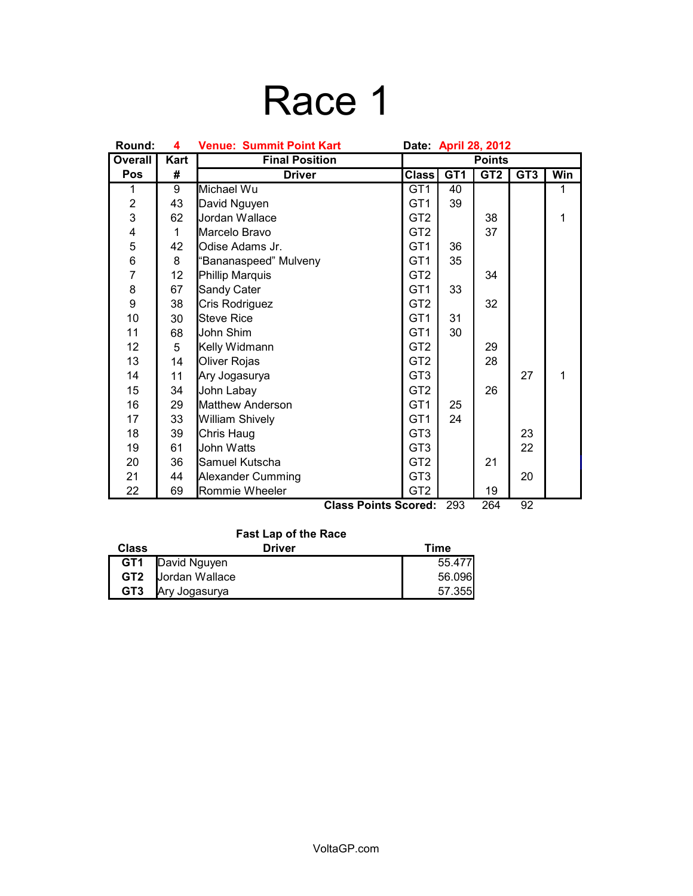# Race 1

| Round:         | 4                                               | <b>Venue: Summit Point Kart</b><br>Date: April 28, 2012 |                 |                 |                 |                 |     |
|----------------|-------------------------------------------------|---------------------------------------------------------|-----------------|-----------------|-----------------|-----------------|-----|
| <b>Overall</b> | Kart                                            | <b>Final Position</b>                                   | <b>Points</b>   |                 |                 |                 |     |
| Pos            | #                                               | <b>Driver</b>                                           | <b>Class</b>    | GT <sub>1</sub> | GT <sub>2</sub> | GT <sub>3</sub> | Win |
| 1              | $\overline{9}$                                  | Michael Wu                                              | GT <sub>1</sub> | 40              |                 |                 | 1   |
| $\overline{2}$ | 43                                              | David Nguyen                                            | GT <sub>1</sub> | 39              |                 |                 |     |
| $\overline{3}$ | 62                                              | Jordan Wallace                                          | GT <sub>2</sub> |                 | 38              |                 | 1   |
| 4              | 1                                               | Marcelo Bravo                                           | GT <sub>2</sub> |                 | 37              |                 |     |
| 5              | 42                                              | Odise Adams Jr.                                         | GT <sub>1</sub> | 36              |                 |                 |     |
| 6              | 8                                               | "Bananaspeed" Mulveny                                   | GT <sub>1</sub> | 35              |                 |                 |     |
| $\overline{7}$ | 12                                              | Phillip Marquis                                         | GT <sub>2</sub> |                 | 34              |                 |     |
| 8              | 67                                              | Sandy Cater                                             | GT <sub>1</sub> | 33              |                 |                 |     |
| 9              | 38                                              | Cris Rodriguez                                          | GT <sub>2</sub> |                 | 32              |                 |     |
| 10             | 30                                              | <b>Steve Rice</b>                                       | GT <sub>1</sub> | 31              |                 |                 |     |
| 11             | 68                                              | John Shim                                               | GT <sub>1</sub> | 30              |                 |                 |     |
| 12             | 5                                               | Kelly Widmann                                           | GT <sub>2</sub> |                 | 29              |                 |     |
| 13             | 14                                              | Oliver Rojas                                            | GT <sub>2</sub> |                 | 28              |                 |     |
| 14             | 11                                              | Ary Jogasurya                                           | GT <sub>3</sub> |                 |                 | 27              | 1   |
| 15             | 34                                              | John Labay                                              | GT <sub>2</sub> |                 | 26              |                 |     |
| 16             | 29                                              | <b>Matthew Anderson</b>                                 | GT <sub>1</sub> | 25              |                 |                 |     |
| 17             | 33                                              | William Shively                                         | GT <sub>1</sub> | 24              |                 |                 |     |
| 18             | 39                                              | Chris Haug                                              | GT <sub>3</sub> |                 |                 | 23              |     |
| 19             | 61                                              | John Watts                                              | GT <sub>3</sub> |                 |                 | 22              |     |
| 20             | 36                                              | Samuel Kutscha                                          | GT <sub>2</sub> |                 | 21              |                 |     |
| 21             | 44                                              | Alexander Cumming                                       | GT <sub>3</sub> |                 |                 | 20              |     |
| 22             | 69                                              | Rommie Wheeler                                          | GT <sub>2</sub> |                 | 19              |                 |     |
|                | 92<br>264<br><b>Class Points Scored:</b><br>293 |                                                         |                 |                 |                 |                 |     |

### **Fast Lap of the Race**

| Class           | Driver         | Time   |
|-----------------|----------------|--------|
| GT1             | David Nguyen   | 55.477 |
| GT2             | Jordan Wallace | 56.096 |
| GT <sub>3</sub> | Ary Jogasurya  | 57.355 |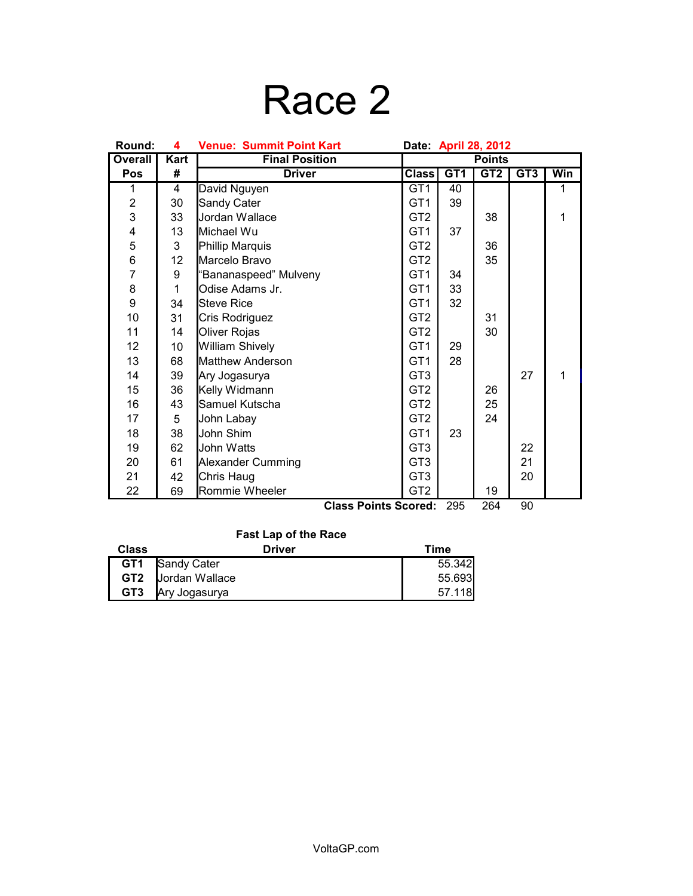## Race 2

| Round:           | <b>Venue: Summit Point Kart</b><br>Date: April 28, 2012<br>4 |                             |                 |                 |                 |                 |     |
|------------------|--------------------------------------------------------------|-----------------------------|-----------------|-----------------|-----------------|-----------------|-----|
| <b>Overall</b>   | Kart                                                         | <b>Final Position</b>       | <b>Points</b>   |                 |                 |                 |     |
| Pos              | #                                                            | <b>Driver</b>               | <b>Class</b>    | GT <sub>1</sub> | GT <sub>2</sub> | GT <sub>3</sub> | Win |
| 1                | $\overline{4}$                                               | David Nguyen                | GT <sub>1</sub> | 40              |                 |                 | 1   |
| $\boldsymbol{2}$ | 30                                                           | Sandy Cater                 | GT <sub>1</sub> | 39              |                 |                 |     |
| 3                | 33                                                           | Jordan Wallace              | GT <sub>2</sub> |                 | 38              |                 | 1   |
| 4                | 13                                                           | Michael Wu                  | GT <sub>1</sub> | 37              |                 |                 |     |
| 5                | 3                                                            | Phillip Marquis             | GT <sub>2</sub> |                 | 36              |                 |     |
| 6                | 12                                                           | Marcelo Bravo               | GT <sub>2</sub> |                 | 35              |                 |     |
| $\overline{7}$   | 9                                                            | "Bananaspeed" Mulveny       | GT <sub>1</sub> | 34              |                 |                 |     |
| 8                | 1                                                            | Odise Adams Jr.             | GT <sub>1</sub> | 33              |                 |                 |     |
| 9                | 34                                                           | <b>Steve Rice</b>           | GT <sub>1</sub> | 32              |                 |                 |     |
| 10               | 31                                                           | Cris Rodriguez              | GT <sub>2</sub> |                 | 31              |                 |     |
| 11               | 14                                                           | Oliver Rojas                | GT <sub>2</sub> |                 | 30              |                 |     |
| 12               | 10 <sup>1</sup>                                              | <b>William Shively</b>      | GT <sub>1</sub> | 29              |                 |                 |     |
| 13               | 68                                                           | <b>Matthew Anderson</b>     | GT <sub>1</sub> | 28              |                 |                 |     |
| 14               | 39                                                           | Ary Jogasurya               | GT <sub>3</sub> |                 |                 | 27              | 1   |
| 15               | 36                                                           | Kelly Widmann               | GT <sub>2</sub> |                 | 26              |                 |     |
| 16               | 43                                                           | Samuel Kutscha              | GT <sub>2</sub> |                 | 25              |                 |     |
| 17               | 5                                                            | John Labay                  | GT <sub>2</sub> |                 | 24              |                 |     |
| 18               | 38                                                           | John Shim                   | GT <sub>1</sub> | 23              |                 |                 |     |
| 19               | 62                                                           | John Watts                  | GT <sub>3</sub> |                 |                 | 22              |     |
| 20               | 61                                                           | <b>Alexander Cumming</b>    | GT <sub>3</sub> |                 |                 | 21              |     |
| 21               | 42                                                           | Chris Haug                  | GT <sub>3</sub> |                 |                 | 20              |     |
| 22               | 69                                                           | Rommie Wheeler              | GT <sub>2</sub> |                 | 19              |                 |     |
|                  |                                                              | <b>Class Points Scored:</b> |                 | 295             | 264             | 90              |     |

#### **Fast Lap of the Race**

| <b>Class</b> | Driver             | Time   |
|--------------|--------------------|--------|
|              | GT1 Sandy Cater    | 55.342 |
|              | GT2 Jordan Wallace | 55.693 |
| GT3          | Ary Jogasurya      | 57.118 |